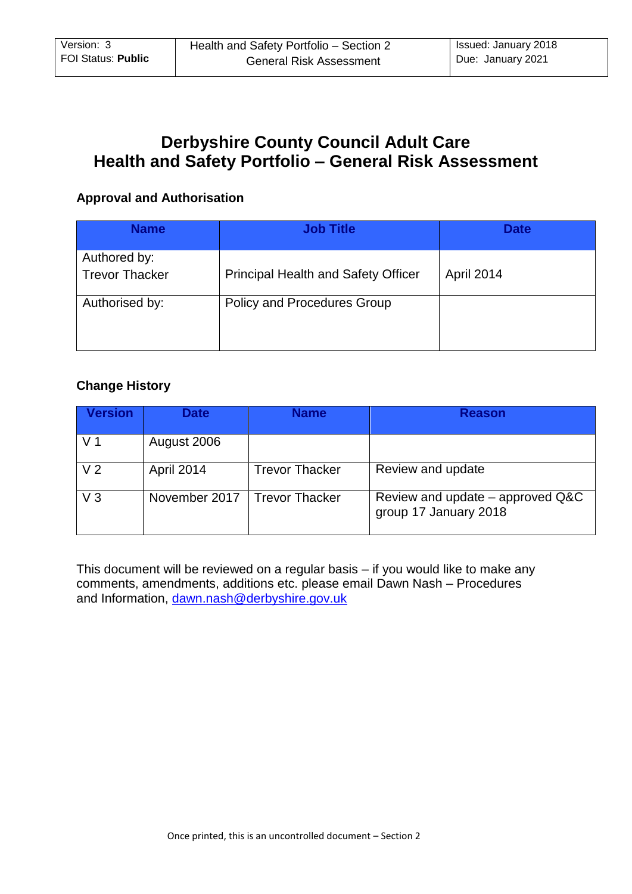# **Derbyshire County Council Adult Care Health and Safety Portfolio – General Risk Assessment**

## **Approval and Authorisation**

| <b>Name</b>                           | <b>Job Title</b>                           | <b>Date</b> |
|---------------------------------------|--------------------------------------------|-------------|
| Authored by:<br><b>Trevor Thacker</b> | <b>Principal Health and Safety Officer</b> | April 2014  |
| Authorised by:                        | Policy and Procedures Group                |             |

## **Change History**

| <b>Version</b> | <b>Date</b>   | Name                  | <b>Reason</b>                                             |
|----------------|---------------|-----------------------|-----------------------------------------------------------|
| V <sub>1</sub> | August 2006   |                       |                                                           |
| V <sub>2</sub> | April 2014    | <b>Trevor Thacker</b> | Review and update                                         |
| $V_3$          | November 2017 | <b>Trevor Thacker</b> | Review and update – approved Q&C<br>group 17 January 2018 |

This document will be reviewed on a regular basis – if you would like to make any comments, amendments, additions etc. please email Dawn Nash – Procedures and Information, [dawn.nash@derbyshire.gov.uk](https://mail.derbyshire.gov.uk/owa/redir.aspx?C=ac3043f0647347fcbaa343447d48c679&URL=mailto%3adawn.nash%40derbyshire.gov.uk)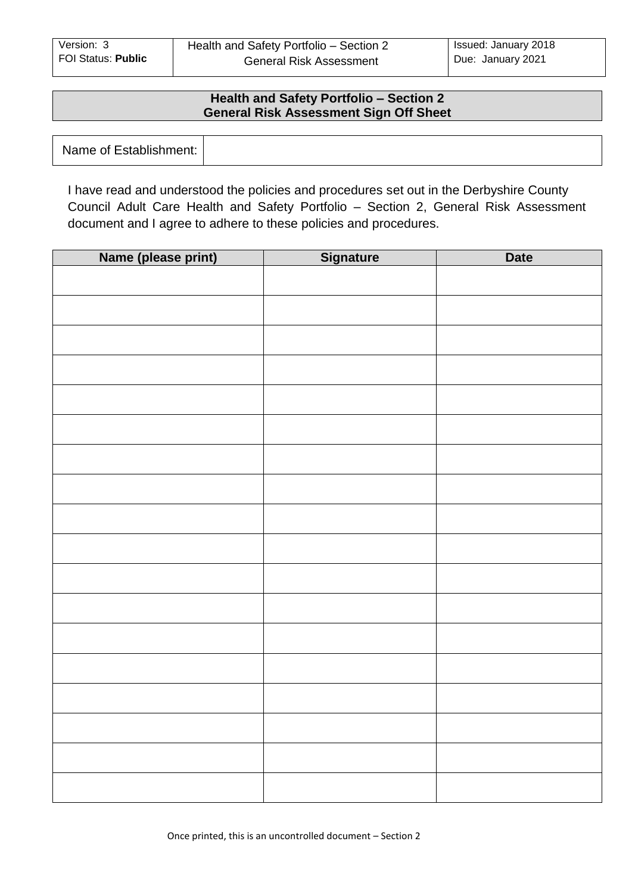#### **Health and Safety Portfolio – Section 2 General Risk Assessment Sign Off Sheet**

| Name of Establishment: |  |
|------------------------|--|
|------------------------|--|

I have read and understood the policies and procedures set out in the Derbyshire County Council Adult Care Health and Safety Portfolio – Section 2, General Risk Assessment document and I agree to adhere to these policies and procedures.

| Name (please print) | <b>Signature</b> | <b>Date</b> |
|---------------------|------------------|-------------|
|                     |                  |             |
|                     |                  |             |
|                     |                  |             |
|                     |                  |             |
|                     |                  |             |
|                     |                  |             |
|                     |                  |             |
|                     |                  |             |
|                     |                  |             |
|                     |                  |             |
|                     |                  |             |
|                     |                  |             |
|                     |                  |             |
|                     |                  |             |
|                     |                  |             |
|                     |                  |             |
|                     |                  |             |
|                     |                  |             |
|                     |                  |             |
|                     |                  |             |
|                     |                  |             |
|                     |                  |             |
|                     |                  |             |
|                     |                  |             |
|                     |                  |             |
|                     |                  |             |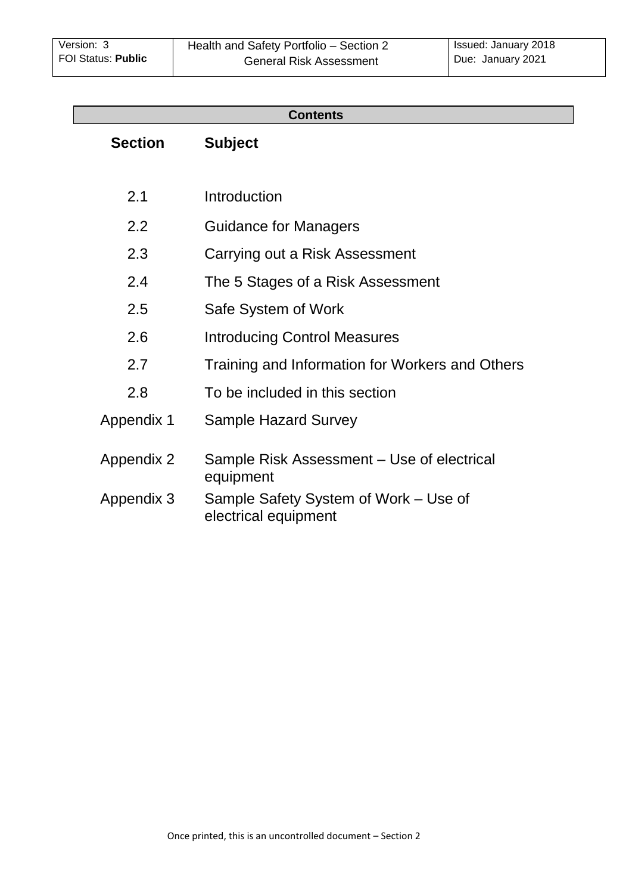| <b>Contents</b>                                               |  |  |  |  |  |  |  |  |
|---------------------------------------------------------------|--|--|--|--|--|--|--|--|
| <b>Subject</b>                                                |  |  |  |  |  |  |  |  |
|                                                               |  |  |  |  |  |  |  |  |
| Introduction                                                  |  |  |  |  |  |  |  |  |
| <b>Guidance for Managers</b>                                  |  |  |  |  |  |  |  |  |
| Carrying out a Risk Assessment                                |  |  |  |  |  |  |  |  |
| The 5 Stages of a Risk Assessment                             |  |  |  |  |  |  |  |  |
| Safe System of Work                                           |  |  |  |  |  |  |  |  |
| <b>Introducing Control Measures</b>                           |  |  |  |  |  |  |  |  |
| Training and Information for Workers and Others               |  |  |  |  |  |  |  |  |
| To be included in this section                                |  |  |  |  |  |  |  |  |
| <b>Sample Hazard Survey</b>                                   |  |  |  |  |  |  |  |  |
| Sample Risk Assessment - Use of electrical<br>equipment       |  |  |  |  |  |  |  |  |
| Sample Safety System of Work – Use of<br>electrical equipment |  |  |  |  |  |  |  |  |
|                                                               |  |  |  |  |  |  |  |  |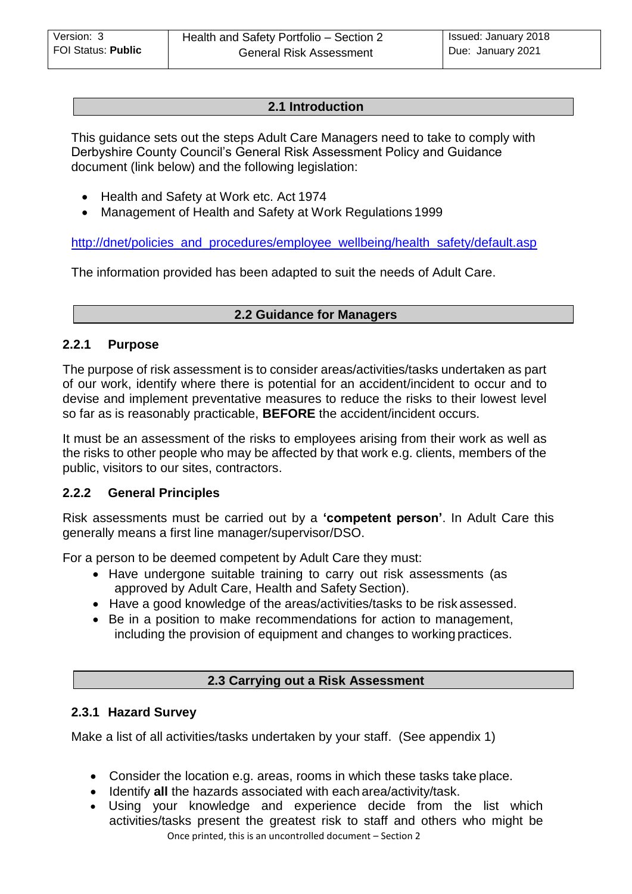## **[2.1 Introduction](#page-3-0)**

<span id="page-3-0"></span>This guidance sets out the steps Adult Care Managers need to take to comply with Derbyshire County Council's General Risk Assessment Policy and Guidance document (link below) and the following legislation:

- Health and Safety at Work etc. Act 1974
- Management of Health and Safety at Work Regulations 1999

[http://dnet/policies\\_and\\_procedures/employee\\_wellbeing/health\\_safety/default.asp](http://dnet/policies_and_procedures/employee_wellbeing/health_safety/default.asp)

The information provided has been adapted to suit the needs of Adult Care.

#### **[2.2 Guidance for Managers](#page-3-0)**

#### **2.2.1 Purpose**

The purpose of risk assessment is to consider areas/activities/tasks undertaken as part of our work, identify where there is potential for an accident/incident to occur and to devise and implement preventative measures to reduce the risks to their lowest level so far as is reasonably practicable, **BEFORE** the accident/incident occurs.

It must be an assessment of the risks to employees arising from their work as well as the risks to other people who may be affected by that work e.g. clients, members of the public, visitors to our sites, contractors.

#### **2.2.2 General Principles**

Risk assessments must be carried out by a **'competent person'**. In Adult Care this generally means a first line manager/supervisor/DSO.

For a person to be deemed competent by Adult Care they must:

- Have undergone suitable training to carry out risk assessments (as approved by Adult Care, Health and Safety Section).
- Have a good knowledge of the areas/activities/tasks to be risk assessed.
- Be in a position to make recommendations for action to management, including the provision of equipment and changes to working practices.

#### **[2.3 Carrying out a Risk Assessment](#page-3-0)**

#### **2.3.1 Hazard Survey**

Make a list of all activities/tasks undertaken by your staff. (See appendix 1)

- Consider the location e.g. areas, rooms in which these tasks take place.
- **I** Identify all the hazards associated with each area/activity/task.
- Once printed, this is an uncontrolled document Section 2 Using your knowledge and experience decide from the list which activities/tasks present the greatest risk to staff and others who might be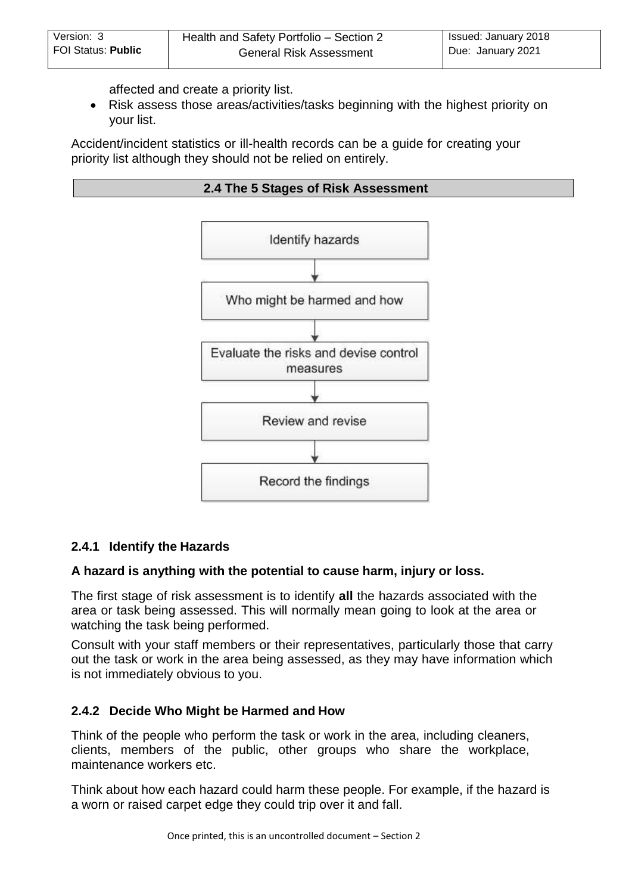affected and create a priority list.

<span id="page-4-0"></span> Risk assess those areas/activities/tasks beginning with the highest priority on your list.

Accident/incident statistics or ill-health records can be a guide for creating your priority list although they should not be relied on entirely.





## **2.4.1 Identify the Hazards**

#### **A hazard is anything with the potential to cause harm, injury or loss.**

The first stage of risk assessment is to identify **all** the hazards associated with the area or task being assessed. This will normally mean going to look at the area or watching the task being performed.

Consult with your staff members or their representatives, particularly those that carry out the task or work in the area being assessed, as they may have information which is not immediately obvious to you.

## **2.4.2 Decide Who Might be Harmed and How**

Think of the people who perform the task or work in the area, including cleaners, clients, members of the public, other groups who share the workplace, maintenance workers etc.

Think about how each hazard could harm these people. For example, if the hazard is a worn or raised carpet edge they could trip over it and fall.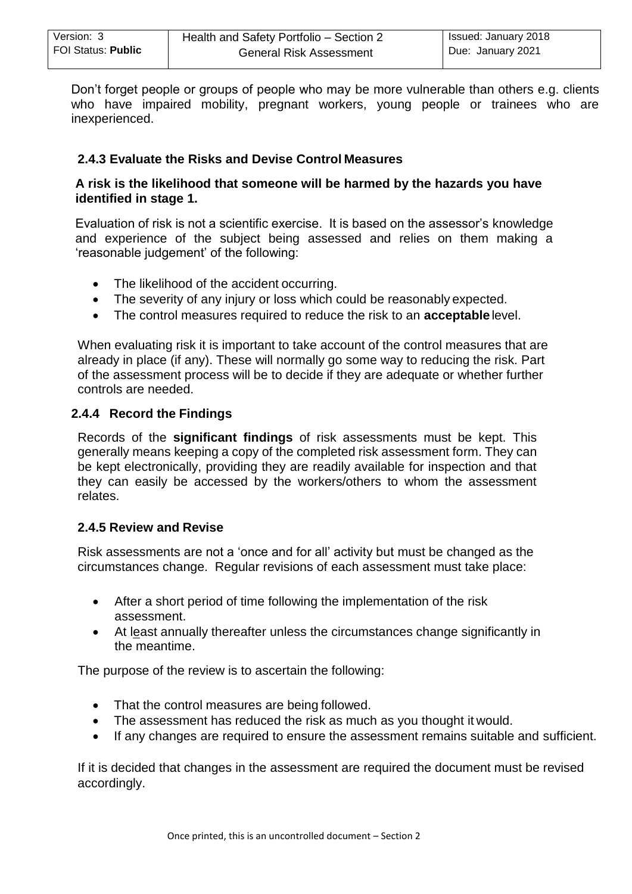Don't forget people or groups of people who may be more vulnerable than others e.g. clients who have impaired mobility, pregnant workers, young people or trainees who are inexperienced.

## **2.4.3 Evaluate the Risks and Devise Control Measures**

#### **A risk is the likelihood that someone will be harmed by the hazards you have identified in stage 1.**

Evaluation of risk is not a scientific exercise. It is based on the assessor's knowledge and experience of the subject being assessed and relies on them making a 'reasonable judgement' of the following:

- The likelihood of the accident occurring.
- The severity of any injury or loss which could be reasonably expected.
- The control measures required to reduce the risk to an **acceptable** level.

When evaluating risk it is important to take account of the control measures that are already in place (if any). These will normally go some way to reducing the risk. Part of the assessment process will be to decide if they are adequate or whether further controls are needed.

## **2.4.4 Record the Findings**

Records of the **significant findings** of risk assessments must be kept. This generally means keeping a copy of the completed risk assessment form. They can be kept electronically, providing they are readily available for inspection and that they can easily be accessed by the workers/others to whom the assessment relates.

## **2.4.5 Review and Revise**

Risk assessments are not a 'once and for all' activity but must be changed as the circumstances change. Regular revisions of each assessment must take place:

- After a short period of time following the implementation of the risk assessment.
- At least annually thereafter unless the circumstances change significantly in the meantime.

The purpose of the review is to ascertain the following:

- That the control measures are being followed.
- The assessment has reduced the risk as much as you thought it would.
- If any changes are required to ensure the assessment remains suitable and sufficient.

If it is decided that changes in the assessment are required the document must be revised accordingly.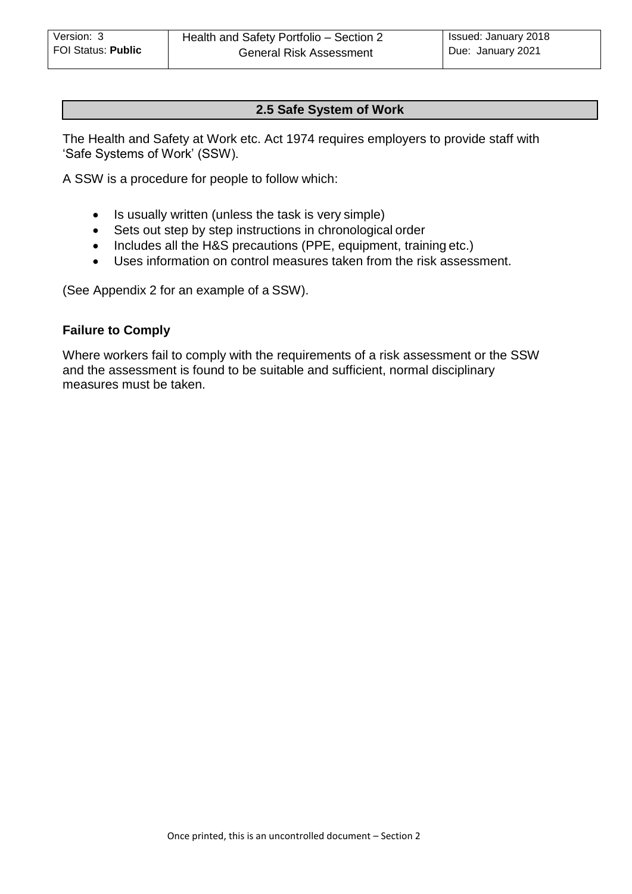## **[2.5](#page-7-0) Safe System of Work**

The Health and Safety at Work etc. Act 1974 requires employers to provide staff with 'Safe Systems of Work' (SSW).

A SSW is a procedure for people to follow which:

- Is usually written (unless the task is very simple)
- Sets out step by step instructions in chronological order
- Includes all the H&S precautions (PPE, equipment, training etc.)
- Uses information on control measures taken from the risk assessment.

(See Appendix 2 for an example of a SSW).

#### **Failure to Comply**

Where workers fail to comply with the requirements of a risk assessment or the SSW and the assessment is found to be suitable and sufficient, normal disciplinary measures must be taken.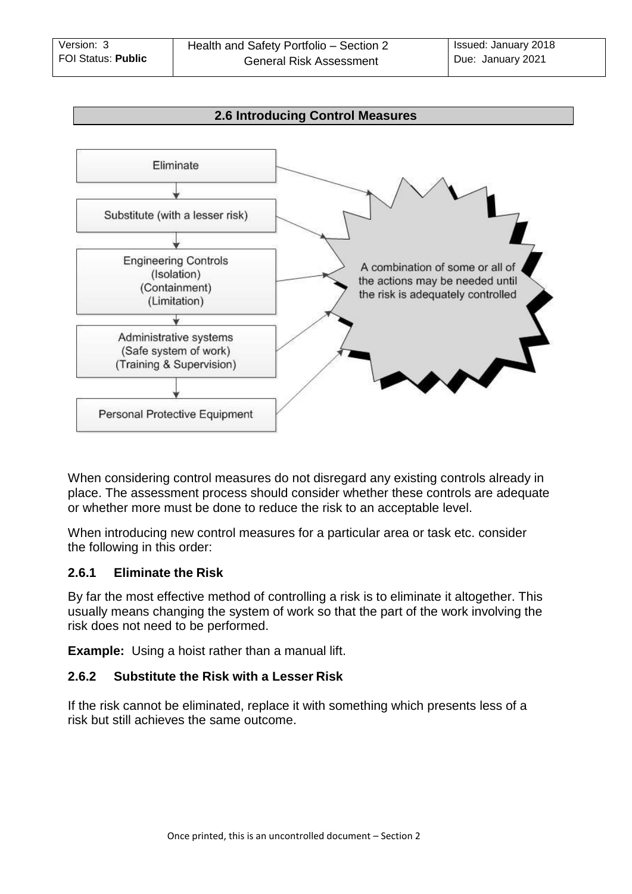<span id="page-7-0"></span>

When considering control measures do not disregard any existing controls already in place. The assessment process should consider whether these controls are adequate or whether more must be done to reduce the risk to an acceptable level.

When introducing new control measures for a particular area or task etc. consider the following in this order:

## **2.6.1 Eliminate the Risk**

By far the most effective method of controlling a risk is to eliminate it altogether. This usually means changing the system of work so that the part of the work involving the risk does not need to be performed.

**Example:** Using a hoist rather than a manual lift.

## **2.6.2 Substitute the Risk with a Lesser Risk**

If the risk cannot be eliminated, replace it with something which presents less of a risk but still achieves the same outcome.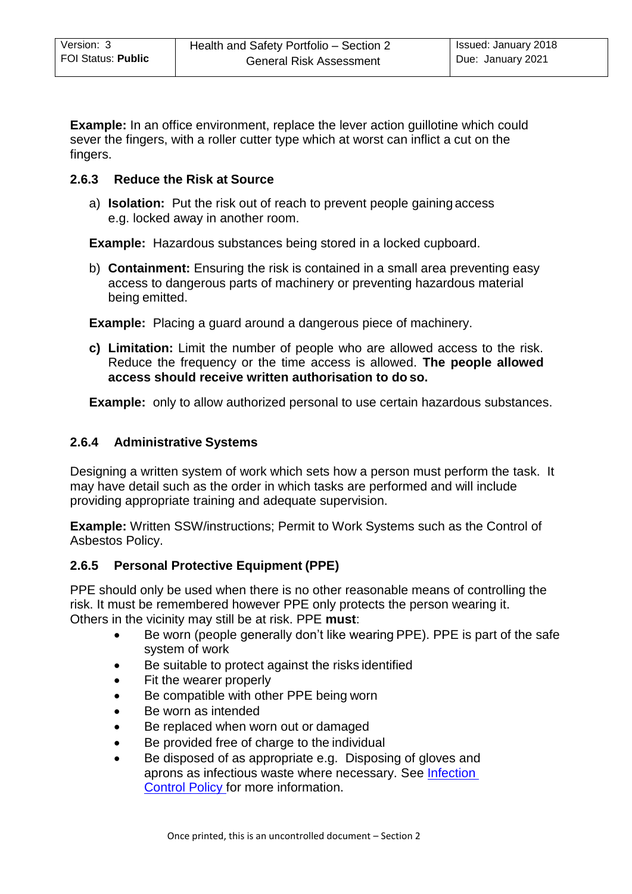**Example:** In an office environment, replace the lever action quillotine which could sever the fingers, with a roller cutter type which at worst can inflict a cut on the fingers.

## **2.6.3 Reduce the Risk at Source**

a) **Isolation:** Put the risk out of reach to prevent people gaining access e.g. locked away in another room.

**Example:** Hazardous substances being stored in a locked cupboard.

b) **Containment:** Ensuring the risk is contained in a small area preventing easy access to dangerous parts of machinery or preventing hazardous material being emitted.

**Example:** Placing a guard around a dangerous piece of machinery.

**c) Limitation:** Limit the number of people who are allowed access to the risk. Reduce the frequency or the time access is allowed. **The people allowed access should receive written authorisation to do so.**

**Example:** only to allow authorized personal to use certain hazardous substances.

## **2.6.4 Administrative Systems**

Designing a written system of work which sets how a person must perform the task. It may have detail such as the order in which tasks are performed and will include providing appropriate training and adequate supervision.

**Example:** Written SSW/instructions; Permit to Work Systems such as the Control of Asbestos Policy.

## **2.6.5 Personal Protective Equipment (PPE)**

PPE should only be used when there is no other reasonable means of controlling the risk. It must be remembered however PPE only protects the person wearing it. Others in the vicinity may still be at risk. PPE **must**:

- Be worn (people generally don't like wearing PPE). PPE is part of the safe system of work
- Be suitable to protect against the risks identified
- Fit the wearer properly
- Be compatible with other PPE being worn
- Be worn as intended
- Be replaced when worn out or damaged
- Be provided free of charge to the individual
- Be disposed of as appropriate e.g. Disposing of gloves and aprons as infectious waste where necessary. See [Infection](http://dnet/policies_and_procedures/older_adults/adult_care/direct_care/hands/default.asp)  [Control Policy f](http://dnet/policies_and_procedures/older_adults/adult_care/direct_care/hands/default.asp)or more information.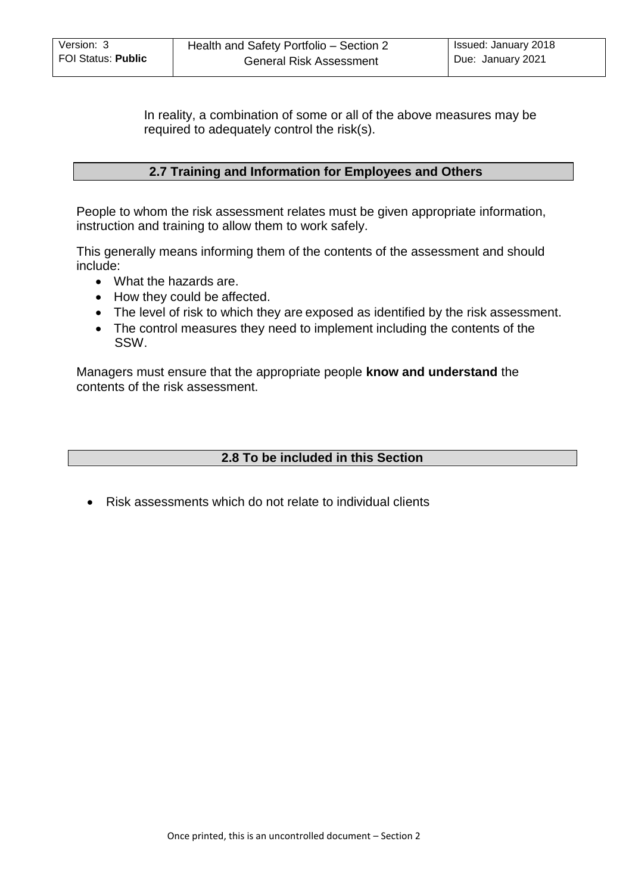<span id="page-9-0"></span>In reality, a combination of some or all of the above measures may be required to adequately control the risk(s).

#### **[2.7 Training and Information for Employees and Others](#page-9-0)**

People to whom the risk assessment relates must be given appropriate information, instruction and training to allow them to work safely.

This generally means informing them of the contents of the assessment and should include:

- What the hazards are.
- How they could be affected.
- The level of risk to which they are exposed as identified by the risk assessment.
- The control measures they need to implement including the contents of the SSW.

Managers must ensure that the appropriate people **know and understand** the contents of the risk assessment.

#### **2.8 To be included in this Section**

Risk assessments which do not relate to individual clients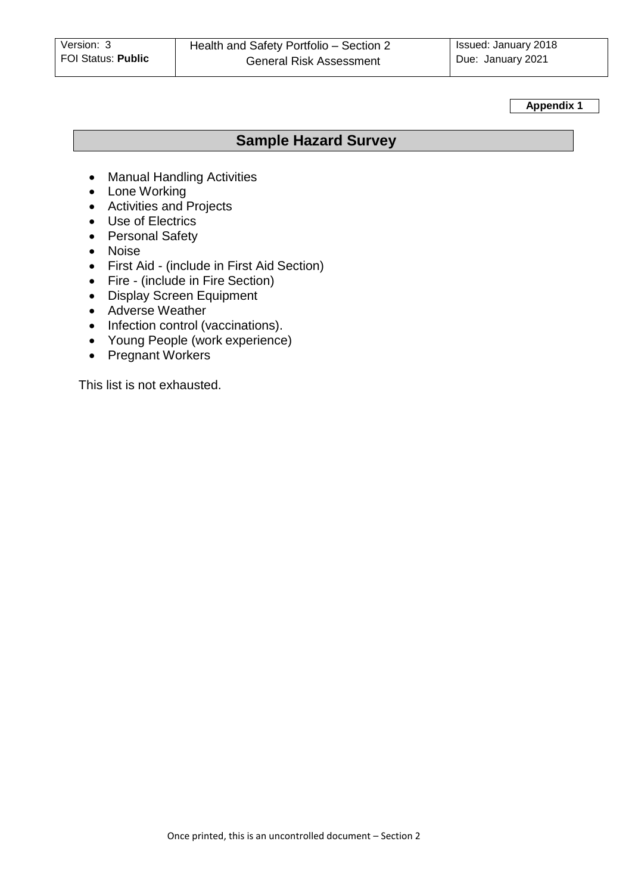<span id="page-10-0"></span>**Appendix 1**

# **Sample Hazard Survey**

- Manual Handling Activities
- Lone Working
- Activities and Projects
- Use of Electrics
- Personal Safety
- Noise
- First Aid (include in First Aid Section)
- Fire (include in Fire Section)
- Display Screen Equipment
- Adverse Weather
- Infection control (vaccinations).
- Young People (work experience)
- Pregnant Workers

This list is not exhausted.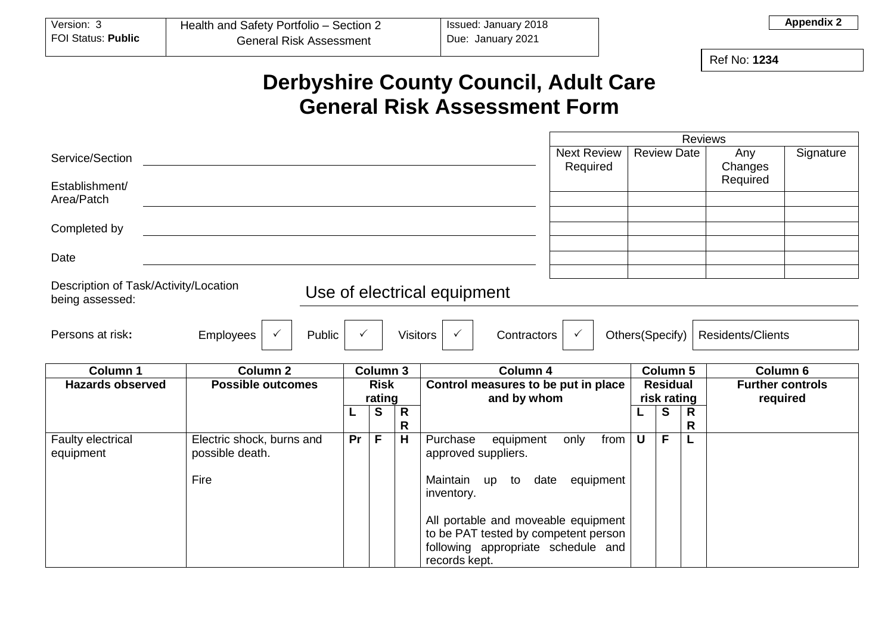| Version:                  | Health and Safety Portfolio – Section 2 | Issued: January 2018 |
|---------------------------|-----------------------------------------|----------------------|
| <b>FOI Status: Public</b> | General Risk Assessment                 | Due: January 2021    |

Ref No: **1234**

**Appendix 2**

# **Derbyshire County Council, Adult Care General Risk Assessment Form**

|                                                          |                                              |    |             |                 |                                                                                                                   |                 |                         | <b>Reviews</b>    |                          |           |
|----------------------------------------------------------|----------------------------------------------|----|-------------|-----------------|-------------------------------------------------------------------------------------------------------------------|-----------------|-------------------------|-------------------|--------------------------|-----------|
| Service/Section                                          |                                              |    |             |                 | <b>Next Review</b><br>Required                                                                                    |                 | <b>Review Date</b>      |                   | Any<br>Changes           | Signature |
| Establishment/<br>Area/Patch                             |                                              |    |             |                 |                                                                                                                   |                 |                         |                   | Required                 |           |
|                                                          |                                              |    |             |                 |                                                                                                                   |                 |                         |                   |                          |           |
| Completed by                                             |                                              |    |             |                 |                                                                                                                   |                 |                         |                   |                          |           |
|                                                          |                                              |    |             |                 |                                                                                                                   |                 |                         |                   |                          |           |
| Date                                                     |                                              |    |             |                 |                                                                                                                   |                 |                         |                   |                          |           |
| Description of Task/Activity/Location<br>being assessed: |                                              |    |             |                 | Use of electrical equipment                                                                                       |                 |                         |                   |                          |           |
| Persons at risk:                                         | Employees<br>Public                          |    |             | <b>Visitors</b> | Contractors<br>$\checkmark$                                                                                       | Others(Specify) |                         |                   | <b>Residents/Clients</b> |           |
|                                                          |                                              |    |             |                 |                                                                                                                   |                 |                         |                   |                          |           |
| <b>Column 1</b>                                          | Column <sub>2</sub>                          |    | Column 3    |                 | Column 4                                                                                                          |                 | Column 5                |                   | Column 6                 |           |
| <b>Hazards observed</b>                                  | <b>Possible outcomes</b>                     |    | <b>Risk</b> |                 | Control measures to be put in place                                                                               |                 | <b>Residual</b>         |                   | <b>Further controls</b>  |           |
|                                                          |                                              |    | rating      |                 | and by whom                                                                                                       |                 | risk rating<br>required |                   |                          |           |
|                                                          |                                              |    | S           | R<br>R          |                                                                                                                   |                 | S                       | R<br>$\mathsf{R}$ |                          |           |
| Faulty electrical<br>equipment                           | Electric shock, burns and<br>possible death. | Pr | F           | H               | Purchase<br>from<br>equipment<br>only<br>approved suppliers.                                                      | $\mathsf{U}$    | F                       |                   |                          |           |
|                                                          | Fire                                         |    |             |                 | Maintain<br>date<br>equipment<br>up<br>to<br>inventory.                                                           |                 |                         |                   |                          |           |
|                                                          |                                              |    |             |                 | All portable and moveable equipment<br>to be PAT tested by competent person<br>following appropriate schedule and |                 |                         |                   |                          |           |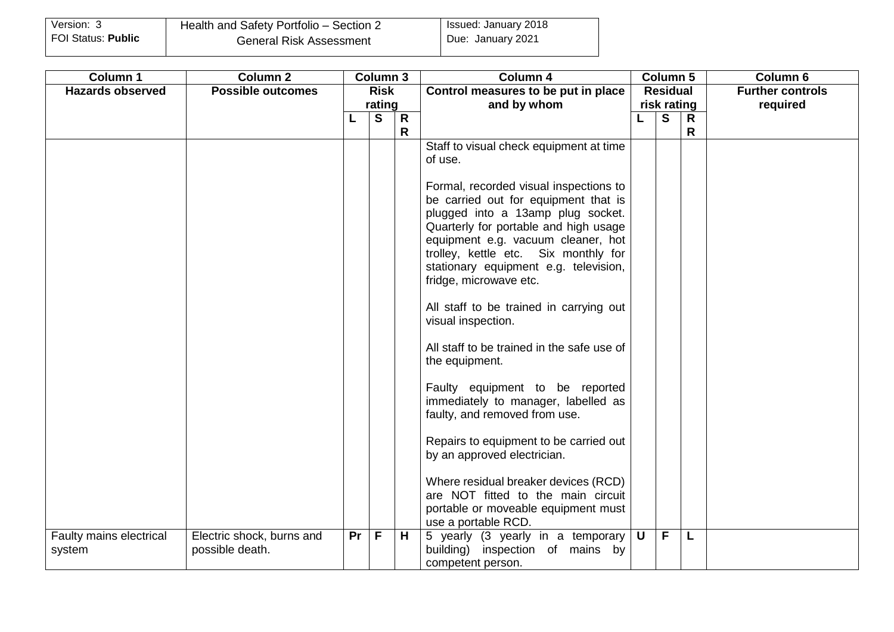| Version: 3         | Health and Safety Portfolio - Section 2 | <b>Issued: January 2018</b> |
|--------------------|-----------------------------------------|-----------------------------|
| FOI Status: Public | <b>General Risk Assessment</b>          | Due: January 2021           |

| Column 1                | <b>Column 2</b>           |             | Column 3     |              | Column 4                                                                   |                 | Column 5       |              | Column 6                |
|-------------------------|---------------------------|-------------|--------------|--------------|----------------------------------------------------------------------------|-----------------|----------------|--------------|-------------------------|
| <b>Hazards observed</b> | <b>Possible outcomes</b>  | <b>Risk</b> |              |              | Control measures to be put in place                                        | <b>Residual</b> |                |              | <b>Further controls</b> |
|                         |                           |             | rating       |              | and by whom                                                                | risk rating     |                |              | required                |
|                         |                           | L           | S            | $\mathsf{R}$ |                                                                            |                 | S              | $\mathsf{R}$ |                         |
|                         |                           |             |              | R            | Staff to visual check equipment at time                                    |                 |                | R            |                         |
|                         |                           |             |              |              | of use.                                                                    |                 |                |              |                         |
|                         |                           |             |              |              |                                                                            |                 |                |              |                         |
|                         |                           |             |              |              | Formal, recorded visual inspections to                                     |                 |                |              |                         |
|                         |                           |             |              |              | be carried out for equipment that is                                       |                 |                |              |                         |
|                         |                           |             |              |              | plugged into a 13amp plug socket.                                          |                 |                |              |                         |
|                         |                           |             |              |              | Quarterly for portable and high usage                                      |                 |                |              |                         |
|                         |                           |             |              |              | equipment e.g. vacuum cleaner, hot<br>trolley, kettle etc. Six monthly for |                 |                |              |                         |
|                         |                           |             |              |              | stationary equipment e.g. television,                                      |                 |                |              |                         |
|                         |                           |             |              |              | fridge, microwave etc.                                                     |                 |                |              |                         |
|                         |                           |             |              |              |                                                                            |                 |                |              |                         |
|                         |                           |             |              |              | All staff to be trained in carrying out                                    |                 |                |              |                         |
|                         |                           |             |              |              | visual inspection.                                                         |                 |                |              |                         |
|                         |                           |             |              |              | All staff to be trained in the safe use of                                 |                 |                |              |                         |
|                         |                           |             |              |              | the equipment.                                                             |                 |                |              |                         |
|                         |                           |             |              |              |                                                                            |                 |                |              |                         |
|                         |                           |             |              |              | Faulty equipment to be reported                                            |                 |                |              |                         |
|                         |                           |             |              |              | immediately to manager, labelled as                                        |                 |                |              |                         |
|                         |                           |             |              |              | faulty, and removed from use.                                              |                 |                |              |                         |
|                         |                           |             |              |              | Repairs to equipment to be carried out                                     |                 |                |              |                         |
|                         |                           |             |              |              | by an approved electrician.                                                |                 |                |              |                         |
|                         |                           |             |              |              |                                                                            |                 |                |              |                         |
|                         |                           |             |              |              | Where residual breaker devices (RCD)                                       |                 |                |              |                         |
|                         |                           |             |              |              | are NOT fitted to the main circuit                                         |                 |                |              |                         |
|                         |                           |             |              |              | portable or moveable equipment must<br>use a portable RCD.                 |                 |                |              |                         |
| Faulty mains electrical | Electric shock, burns and | Pr          | $\mathsf{F}$ | H            | 5 yearly (3 yearly in a temporary $\vert \mathbf{U} \vert$                 |                 | $\overline{F}$ | L            |                         |
| system                  | possible death.           |             |              |              | building) inspection of mains by                                           |                 |                |              |                         |
|                         |                           |             |              |              | competent person.                                                          |                 |                |              |                         |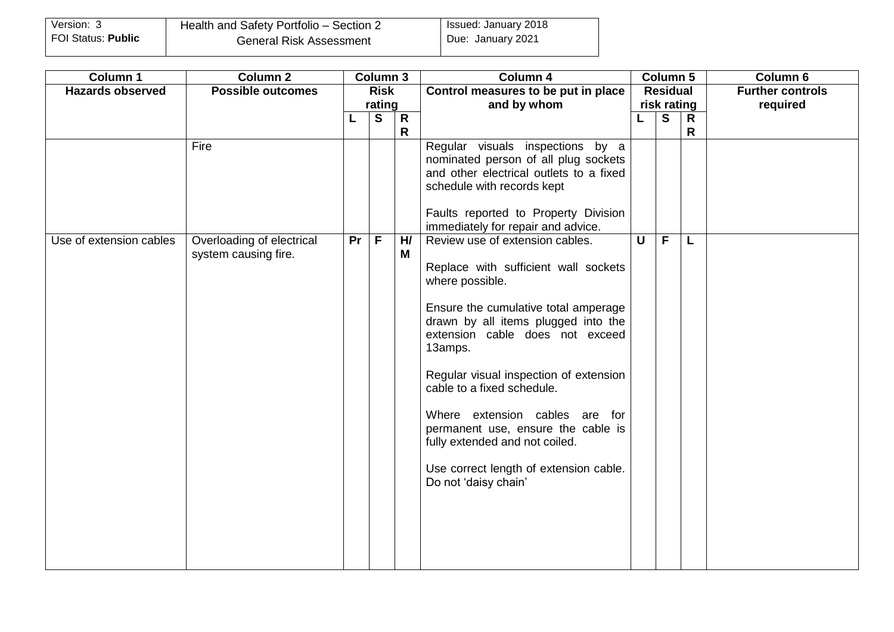| Version: 3         | Health and Safety Portfolio - Section 2 | <b>Issued: January 2018</b> |
|--------------------|-----------------------------------------|-----------------------------|
| FOI Status: Public | <b>General Risk Assessment</b>          | Due: January 2021           |

| Column 1                | <b>Column 2</b>                                           |             | <b>Column 3</b> |                         | Column 4                                                                                                                                                                                                                                                                                                                                                                                                                                                                                                                                                                                                                                                                                                       |                         | Column 5       |              | Column 6                |
|-------------------------|-----------------------------------------------------------|-------------|-----------------|-------------------------|----------------------------------------------------------------------------------------------------------------------------------------------------------------------------------------------------------------------------------------------------------------------------------------------------------------------------------------------------------------------------------------------------------------------------------------------------------------------------------------------------------------------------------------------------------------------------------------------------------------------------------------------------------------------------------------------------------------|-------------------------|----------------|--------------|-------------------------|
| <b>Hazards observed</b> | <b>Possible outcomes</b>                                  | <b>Risk</b> |                 |                         | Control measures to be put in place                                                                                                                                                                                                                                                                                                                                                                                                                                                                                                                                                                                                                                                                            |                         | Residual       |              | <b>Further controls</b> |
|                         |                                                           | rating      |                 |                         | and by whom                                                                                                                                                                                                                                                                                                                                                                                                                                                                                                                                                                                                                                                                                                    |                         | risk rating    |              | required                |
|                         |                                                           | L           | $\mathbf{s}$    | $\mathsf{R}$            |                                                                                                                                                                                                                                                                                                                                                                                                                                                                                                                                                                                                                                                                                                                |                         | $\overline{s}$ | $\mathsf{R}$ |                         |
| Use of extension cables | Fire<br>Overloading of electrical<br>system causing fire. | <b>Pr</b>   | $\overline{F}$  | $\mathsf{R}$<br>H/<br>M | Regular visuals inspections by a<br>nominated person of all plug sockets<br>and other electrical outlets to a fixed<br>schedule with records kept<br>Faults reported to Property Division<br>immediately for repair and advice.<br>Review use of extension cables.<br>Replace with sufficient wall sockets<br>where possible.<br>Ensure the cumulative total amperage<br>drawn by all items plugged into the<br>extension cable does not exceed<br>13amps.<br>Regular visual inspection of extension<br>cable to a fixed schedule.<br>Where extension cables are for<br>permanent use, ensure the cable is<br>fully extended and not coiled.<br>Use correct length of extension cable.<br>Do not 'daisy chain' | $\overline{\mathsf{U}}$ | $\overline{F}$ | R<br>L       |                         |
|                         |                                                           |             |                 |                         |                                                                                                                                                                                                                                                                                                                                                                                                                                                                                                                                                                                                                                                                                                                |                         |                |              |                         |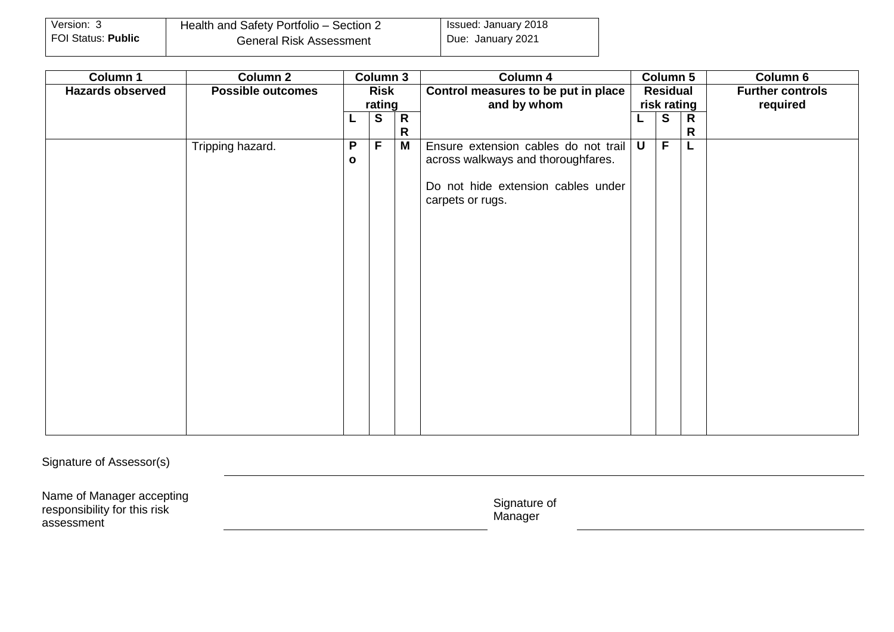| Version: 3         | Health and Safety Portfolio - Section 2 | <b>Issued: January 2018</b> |
|--------------------|-----------------------------------------|-----------------------------|
| FOI Status: Public | <b>General Risk Assessment</b>          | Due: January 2021           |

| Column 1                | <b>Column 2</b>          | <b>Column 3</b> |   |              | Column 4                             |                 | <b>Column 5</b> |              | Column 6                |
|-------------------------|--------------------------|-----------------|---|--------------|--------------------------------------|-----------------|-----------------|--------------|-------------------------|
| <b>Hazards observed</b> | <b>Possible outcomes</b> | <b>Risk</b>     |   |              | Control measures to be put in place  | <b>Residual</b> |                 |              | <b>Further controls</b> |
|                         |                          | rating          |   |              | and by whom                          | risk rating     |                 |              | required                |
|                         |                          | L               | S | $\mathsf{R}$ |                                      |                 | S               | $\mathsf{R}$ |                         |
|                         |                          |                 |   | R            |                                      |                 |                 | R            |                         |
|                         | Tripping hazard.         | $\mathsf{P}$    | E | M            | Ensure extension cables do not trail | $\mathsf{U}$    | $\overline{F}$  | L            |                         |
|                         |                          | $\mathbf{o}$    |   |              | across walkways and thoroughfares.   |                 |                 |              |                         |
|                         |                          |                 |   |              | Do not hide extension cables under   |                 |                 |              |                         |
|                         |                          |                 |   |              | carpets or rugs.                     |                 |                 |              |                         |
|                         |                          |                 |   |              |                                      |                 |                 |              |                         |
|                         |                          |                 |   |              |                                      |                 |                 |              |                         |
|                         |                          |                 |   |              |                                      |                 |                 |              |                         |
|                         |                          |                 |   |              |                                      |                 |                 |              |                         |
|                         |                          |                 |   |              |                                      |                 |                 |              |                         |
|                         |                          |                 |   |              |                                      |                 |                 |              |                         |
|                         |                          |                 |   |              |                                      |                 |                 |              |                         |
|                         |                          |                 |   |              |                                      |                 |                 |              |                         |
|                         |                          |                 |   |              |                                      |                 |                 |              |                         |
|                         |                          |                 |   |              |                                      |                 |                 |              |                         |
|                         |                          |                 |   |              |                                      |                 |                 |              |                         |
|                         |                          |                 |   |              |                                      |                 |                 |              |                         |
|                         |                          |                 |   |              |                                      |                 |                 |              |                         |
|                         |                          |                 |   |              |                                      |                 |                 |              |                         |
|                         |                          |                 |   |              |                                      |                 |                 |              |                         |
|                         |                          |                 |   |              |                                      |                 |                 |              |                         |

Signature of Assessor(s)

Name of Manager accepting responsibility for this risk assessment

Signature of Manager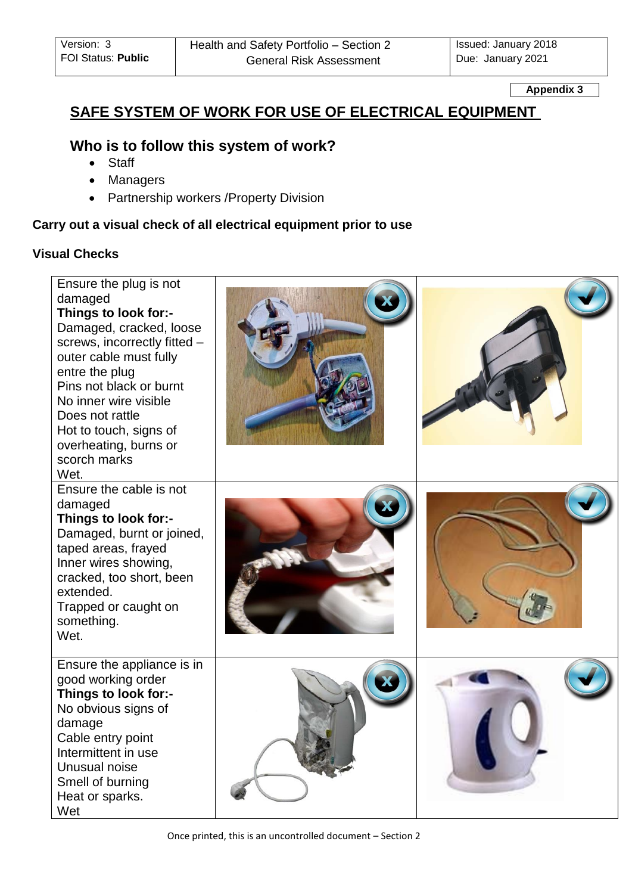**Appendix 3**

# **SAFE SYSTEM OF WORK FOR USE OF ELECTRICAL EQUIPMENT**

## **Who is to follow this system of work?**

- Staff
- Managers
- Partnership workers / Property Division

## **Carry out a visual check of all electrical equipment prior to use**

## **Visual Checks**

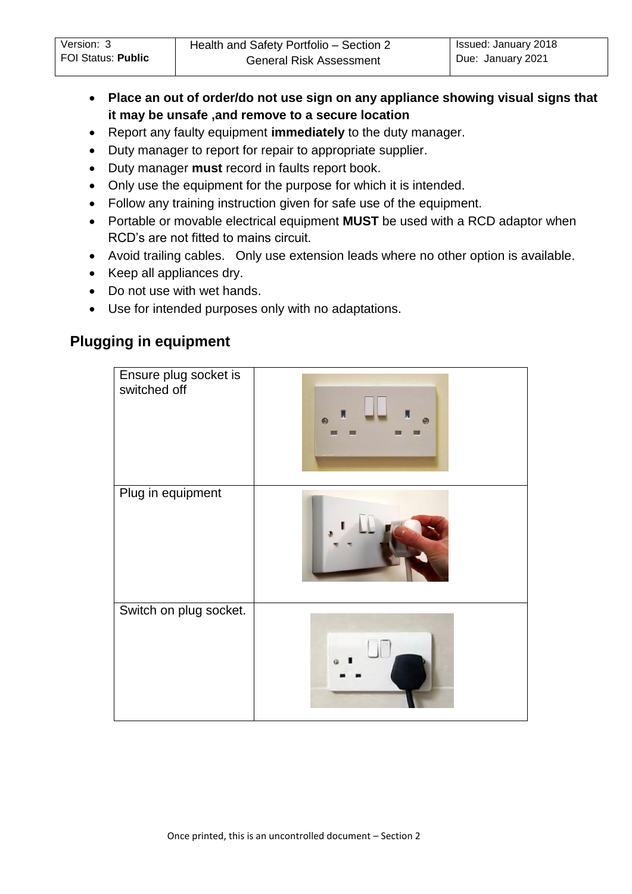- **Place an out of order/do not use sign on any appliance showing visual signs that it may be unsafe ,and remove to a secure location**
- Report any faulty equipment **immediately** to the duty manager.
- Duty manager to report for repair to appropriate supplier.
- Duty manager **must** record in faults report book.
- Only use the equipment for the purpose for which it is intended.
- Follow any training instruction given for safe use of the equipment.
- Portable or movable electrical equipment **MUST** be used with a RCD adaptor when RCD's are not fitted to mains circuit.
- Avoid trailing cables. Only use extension leads where no other option is available.
- Keep all appliances dry.
- Do not use with wet hands.
- Use for intended purposes only with no adaptations.

# **Plugging in equipment**